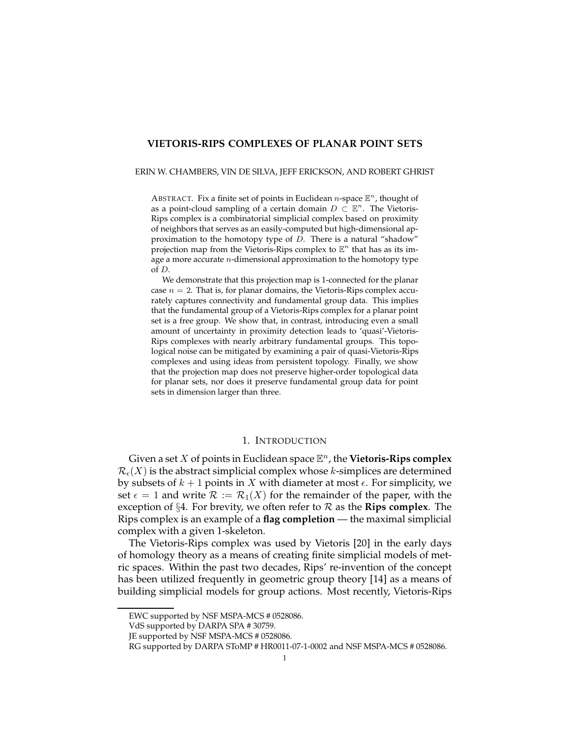## **VIETORIS-RIPS COMPLEXES OF PLANAR POINT SETS**

#### ERIN W. CHAMBERS, VIN DE SILVA, JEFF ERICKSON, AND ROBERT GHRIST

ABSTRACT. Fix a finite set of points in Euclidean n-space  $\mathbb{E}^n$ , thought of as a point-cloud sampling of a certain domain  $D \subset \mathbb{E}^n$ . The Vietoris-Rips complex is a combinatorial simplicial complex based on proximity of neighbors that serves as an easily-computed but high-dimensional approximation to the homotopy type of D. There is a natural "shadow" projection map from the Vietoris-Rips complex to  $\mathbb{E}^n$  that has as its image a more accurate  $n$ -dimensional approximation to the homotopy type of D.

We demonstrate that this projection map is 1-connected for the planar case  $n = 2$ . That is, for planar domains, the Vietoris-Rips complex accurately captures connectivity and fundamental group data. This implies that the fundamental group of a Vietoris-Rips complex for a planar point set is a free group. We show that, in contrast, introducing even a small amount of uncertainty in proximity detection leads to 'quasi'-Vietoris-Rips complexes with nearly arbitrary fundamental groups. This topological noise can be mitigated by examining a pair of quasi-Vietoris-Rips complexes and using ideas from persistent topology. Finally, we show that the projection map does not preserve higher-order topological data for planar sets, nor does it preserve fundamental group data for point sets in dimension larger than three.

## 1. INTRODUCTION

Given a set  $X$  of points in Euclidean space  $\mathbb{E}^n$ , the **Vietoris-Rips complex**  $\mathcal{R}_{\epsilon}(X)$  is the abstract simplicial complex whose k-simplices are determined by subsets of  $k + 1$  points in X with diameter at most  $\epsilon$ . For simplicity, we set  $\epsilon = 1$  and write  $\mathcal{R} := \mathcal{R}_1(X)$  for the remainder of the paper, with the exception of §4. For brevity, we often refer to  $\mathcal R$  as the **Rips complex**. The Rips complex is an example of a **flag completion** — the maximal simplicial complex with a given 1-skeleton.

The Vietoris-Rips complex was used by Vietoris [20] in the early days of homology theory as a means of creating finite simplicial models of metric spaces. Within the past two decades, Rips' re-invention of the concept has been utilized frequently in geometric group theory [14] as a means of building simplicial models for group actions. Most recently, Vietoris-Rips

EWC supported by NSF MSPA-MCS # 0528086.

VdS supported by DARPA SPA # 30759.

JE supported by NSF MSPA-MCS # 0528086.

RG supported by DARPA SToMP # HR0011-07-1-0002 and NSF MSPA-MCS # 0528086.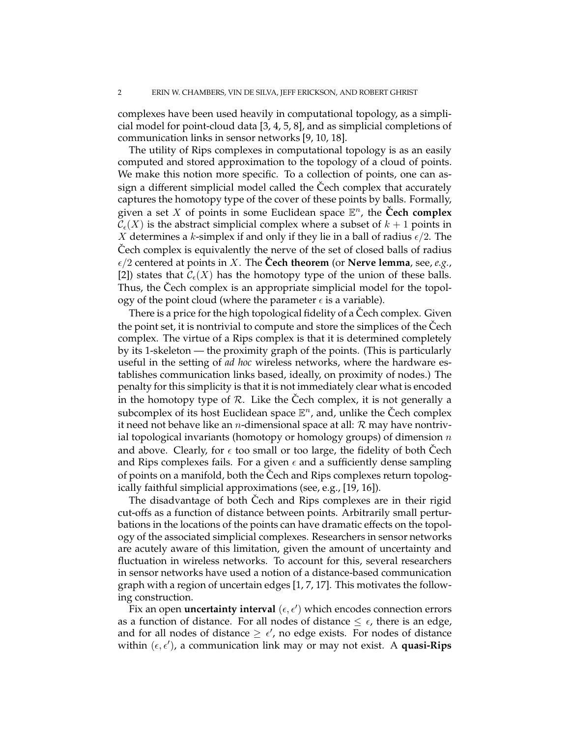complexes have been used heavily in computational topology, as a simplicial model for point-cloud data [3, 4, 5, 8], and as simplicial completions of communication links in sensor networks [9, 10, 18].

The utility of Rips complexes in computational topology is as an easily computed and stored approximation to the topology of a cloud of points. We make this notion more specific. To a collection of points, one can assign a different simplicial model called the Cech complex that accurately captures the homotopy type of the cover of these points by balls. Formally, given a set X of points in some Euclidean space  $\mathbb{E}^n$ , the **Čech complex**  $\mathcal{C}_{\epsilon}(X)$  is the abstract simplicial complex where a subset of  $k + 1$  points in X determines a k-simplex if and only if they lie in a ball of radius  $\epsilon/2$ . The Cech complex is equivalently the nerve of the set of closed balls of radius  $\epsilon/2$  centered at points in X. The **Cech theorem** (or **Nerve lemma**, see, *e.g.*, [2]) states that  $\mathcal{C}_{\epsilon}(X)$  has the homotopy type of the union of these balls. Thus, the Čech complex is an appropriate simplicial model for the topology of the point cloud (where the parameter  $\epsilon$  is a variable).

There is a price for the high topological fidelity of a Cech complex. Given the point set, it is nontrivial to compute and store the simplices of the Cech complex. The virtue of a Rips complex is that it is determined completely by its 1-skeleton — the proximity graph of the points. (This is particularly useful in the setting of *ad hoc* wireless networks, where the hardware establishes communication links based, ideally, on proximity of nodes.) The penalty for this simplicity is that it is not immediately clear what is encoded in the homotopy type of  $R$ . Like the Cech complex, it is not generally a subcomplex of its host Euclidean space  $\mathbb{E}^n$ , and, unlike the Čech complex it need not behave like an *n*-dimensional space at all:  $R$  may have nontrivial topological invariants (homotopy or homology groups) of dimension  $n$ and above. Clearly, for  $\epsilon$  too small or too large, the fidelity of both Cech and Rips complexes fails. For a given  $\epsilon$  and a sufficiently dense sampling of points on a manifold, both the Cech and Rips complexes return topologically faithful simplicial approximations (see, e.g., [19, 16]).

The disadvantage of both Cech and Rips complexes are in their rigid cut-offs as a function of distance between points. Arbitrarily small perturbations in the locations of the points can have dramatic effects on the topology of the associated simplicial complexes. Researchers in sensor networks are acutely aware of this limitation, given the amount of uncertainty and fluctuation in wireless networks. To account for this, several researchers in sensor networks have used a notion of a distance-based communication graph with a region of uncertain edges [1, 7, 17]. This motivates the following construction.

 $\widetilde{F}$ ix an open **uncertainty interval** ( $\epsilon, \epsilon'$ ) which encodes connection errors as a function of distance. For all nodes of distance  $\leq \epsilon$ , there is an edge, and for all nodes of distance  $\geq \epsilon'$ , no edge exists. For nodes of distance within  $(\epsilon, \epsilon')$ , a communication link may or may not exist. A **quasi-Rips**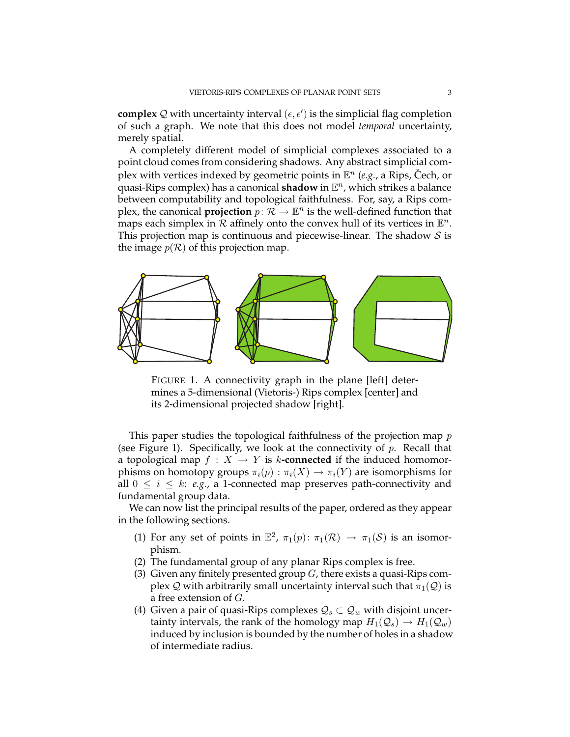**complex** Q with uncertainty interval  $(\epsilon, \epsilon')$  is the simplicial flag completion of such a graph. We note that this does not model *temporal* uncertainty, merely spatial.

A completely different model of simplicial complexes associated to a point cloud comes from considering shadows. Any abstract simplicial complex with vertices indexed by geometric points in  $\mathbb{E}^n$  (e.g., a Rips, Čech, or **quasi-Rips complex) has a canonical shadow in**  $\mathbb{E}^n$ **, which strikes a balance** between computability and topological faithfulness. For, say, a Rips complex, the canonical **projection**  $p: \mathcal{R} \to \mathbb{E}^n$  is the well-defined function that maps each simplex in  $\mathcal R$  affinely onto the convex hull of its vertices in  $\mathbb E^n$ . This projection map is continuous and piecewise-linear. The shadow  $S$  is the image  $p(\mathcal{R})$  of this projection map.



FIGURE 1. A connectivity graph in the plane [left] determines a 5-dimensional (Vietoris-) Rips complex [center] and its 2-dimensional projected shadow [right].

This paper studies the topological faithfulness of the projection map  $p$ (see Figure 1). Specifically, we look at the connectivity of  $p$ . Recall that a topological map  $f : X \to Y$  is k-connected if the induced homomorphisms on homotopy groups  $\pi_i(p) : \pi_i(X) \to \pi_i(Y)$  are isomorphisms for all  $0 \leq i \leq k$ : *e.g.*, a 1-connected map preserves path-connectivity and fundamental group data.

We can now list the principal results of the paper, ordered as they appear in the following sections.

- (1) For any set of points in  $\mathbb{E}^2$ ,  $\pi_1(p)$ :  $\pi_1(\mathcal{R}) \to \pi_1(\mathcal{S})$  is an isomorphism.
- (2) The fundamental group of any planar Rips complex is free.
- (3) Given any finitely presented group  $G$ , there exists a quasi-Rips complex Q with arbitrarily small uncertainty interval such that  $\pi_1(Q)$  is a free extension of G.
- (4) Given a pair of quasi-Rips complexes  $\mathcal{Q}_s \subset \mathcal{Q}_w$  with disjoint uncertainty intervals, the rank of the homology map  $H_1(\mathcal{Q}_s) \to H_1(\mathcal{Q}_w)$ induced by inclusion is bounded by the number of holes in a shadow of intermediate radius.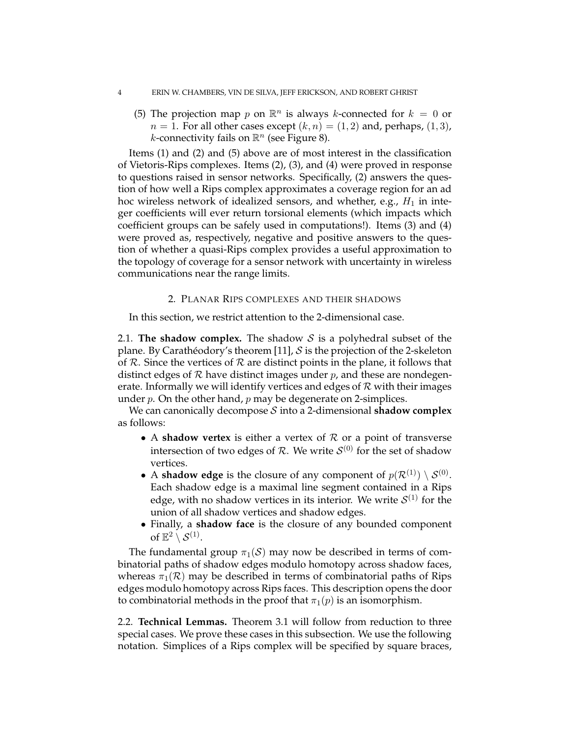#### 4 ERIN W. CHAMBERS, VIN DE SILVA, JEFF ERICKSON, AND ROBERT GHRIST

(5) The projection map p on  $\mathbb{R}^n$  is always k-connected for  $k = 0$  or  $n = 1$ . For all other cases except  $(k, n) = (1, 2)$  and, perhaps,  $(1, 3)$ , *k*-connectivity fails on  $\mathbb{R}^n$  (see Figure 8).

Items (1) and (2) and (5) above are of most interest in the classification of Vietoris-Rips complexes. Items (2), (3), and (4) were proved in response to questions raised in sensor networks. Specifically, (2) answers the question of how well a Rips complex approximates a coverage region for an ad hoc wireless network of idealized sensors, and whether, e.g.,  $H_1$  in integer coefficients will ever return torsional elements (which impacts which coefficient groups can be safely used in computations!). Items (3) and (4) were proved as, respectively, negative and positive answers to the question of whether a quasi-Rips complex provides a useful approximation to the topology of coverage for a sensor network with uncertainty in wireless communications near the range limits.

### 2. PLANAR RIPS COMPLEXES AND THEIR SHADOWS

In this section, we restrict attention to the 2-dimensional case.

2.1. **The shadow complex.** The shadow  $S$  is a polyhedral subset of the plane. By Carathéodory's theorem [11], S is the projection of the 2-skeleton of  $R$ . Since the vertices of  $R$  are distinct points in the plane, it follows that distinct edges of  $R$  have distinct images under  $p$ , and these are nondegenerate. Informally we will identify vertices and edges of  $\mathcal R$  with their images under  $p$ . On the other hand,  $p$  may be degenerate on 2-simplices.

We can canonically decompose S into a 2-dimensional **shadow complex** as follows:

- A **shadow vertex** is either a vertex of  $R$  or a point of transverse intersection of two edges of  $R$ . We write  $\mathcal{S}^{(0)}$  for the set of shadow vertices.
- A **shadow edge** is the closure of any component of  $p(\mathcal{R}^{(1)}) \setminus S^{(0)}$ . Each shadow edge is a maximal line segment contained in a Rips edge, with no shadow vertices in its interior. We write  $\mathcal{S}^{(1)}$  for the union of all shadow vertices and shadow edges.
- Finally, a **shadow face** is the closure of any bounded component of  $\mathbb{E}^2 \setminus \mathcal{S}^{(1)}$ .

The fundamental group  $\pi_1(S)$  may now be described in terms of combinatorial paths of shadow edges modulo homotopy across shadow faces, whereas  $\pi_1(\mathcal{R})$  may be described in terms of combinatorial paths of Rips edges modulo homotopy across Rips faces. This description opens the door to combinatorial methods in the proof that  $\pi_1(p)$  is an isomorphism.

2.2. **Technical Lemmas.** Theorem 3.1 will follow from reduction to three special cases. We prove these cases in this subsection. We use the following notation. Simplices of a Rips complex will be specified by square braces,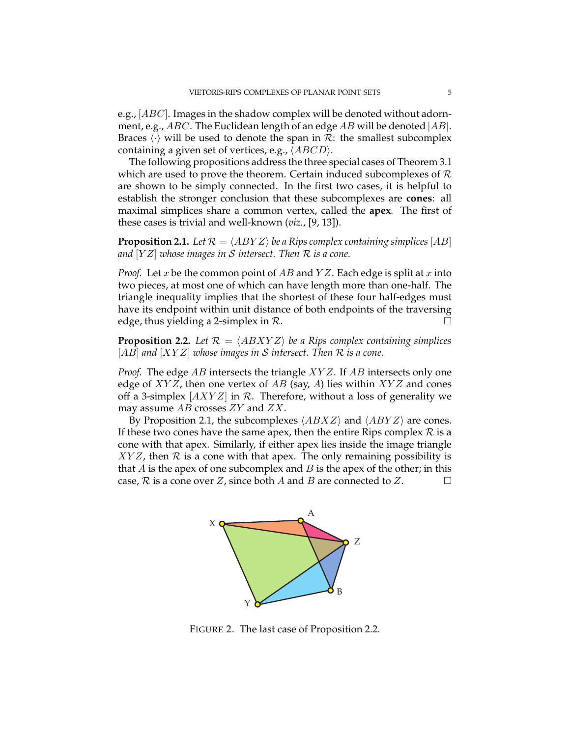e.g.,  $[ABC]$ . Images in the shadow complex will be denoted without adornment, e.g.,  $ABC$ . The Euclidean length of an edge AB will be denoted  $|AB|$ . Braces  $\langle \cdot \rangle$  will be used to denote the span in  $\mathcal{R}$ : the smallest subcomplex containing a given set of vertices, e.g.,  $\langle ABCD \rangle$ .

The following propositions address the three special cases of Theorem 3.1 which are used to prove the theorem. Certain induced subcomplexes of  $R$ are shown to be simply connected. In the first two cases, it is helpful to establish the stronger conclusion that these subcomplexes are **cones**: all maximal simplices share a common vertex, called the **apex**. The first of these cases is trivial and well-known (*viz.*, [9, 13]).

**Proposition 2.1.** Let  $\mathcal{R} = \langle ABYZ \rangle$  be a Rips complex containing simplices [AB] *and* [Y Z] *whose images in* S *intersect. Then* R *is a cone.*

*Proof.* Let x be the common point of  $AB$  and  $YZ$ . Each edge is split at x into two pieces, at most one of which can have length more than one-half. The triangle inequality implies that the shortest of these four half-edges must have its endpoint within unit distance of both endpoints of the traversing edge, thus yielding a 2-simplex in  $\mathcal{R}$ .

**Proposition 2.2.** Let  $\mathcal{R} = \langle ABXYZ \rangle$  be a Rips complex containing simplices [AB] *and* [XY Z] *whose images in* S *intersect. Then* R *is a cone.*

*Proof.* The edge AB intersects the triangle XYZ. If AB intersects only one edge of  $XYZ$ , then one vertex of AB (say, A) lies within  $XYZ$  and cones off a 3-simplex  $[AXYZ]$  in R. Therefore, without a loss of generality we may assume  $AB$  crosses  $ZY$  and  $ZX$ .

By Proposition 2.1, the subcomplexes  $\langle ABXZ \rangle$  and  $\langle ABYZ \rangle$  are cones. If these two cones have the same apex, then the entire Rips complex  $R$  is a cone with that apex. Similarly, if either apex lies inside the image triangle  $XYZ$ , then  $\mathcal R$  is a cone with that apex. The only remaining possibility is that A is the apex of one subcomplex and B is the apex of the other; in this case,  $R$  is a cone over  $Z$ , since both  $A$  and  $B$  are connected to  $Z$ .



FIGURE 2. The last case of Proposition 2.2.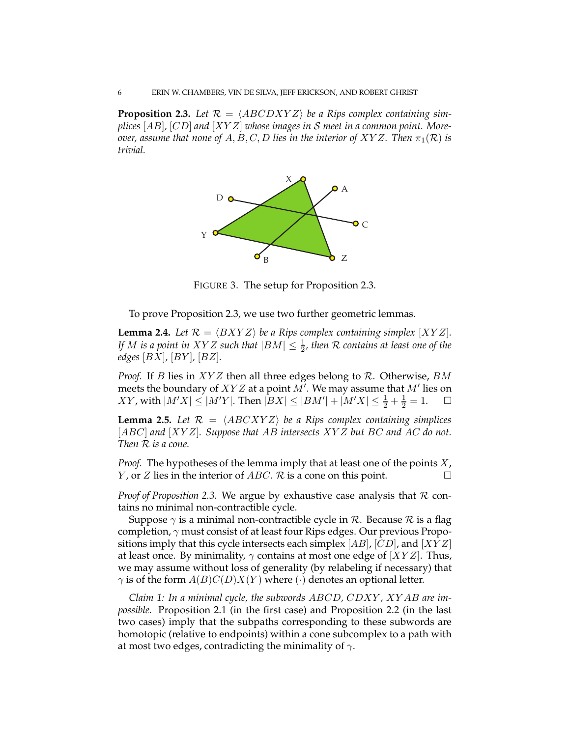**Proposition 2.3.** Let  $\mathcal{R} = \langle ABCDXYZ \rangle$  be a Rips complex containing sim*plices* [AB]*,* [CD] *and* [XY Z] *whose images in* S *meet in a common point. Moreover, assume that none of*  $A, B, C, D$  *lies in the interior of XYZ. Then*  $\pi_1(\mathcal{R})$  *is trivial.*



FIGURE 3. The setup for Proposition 2.3.

To prove Proposition 2.3, we use two further geometric lemmas.

**Lemma 2.4.** Let  $\mathcal{R} = \langle BXYZ \rangle$  be a Rips complex containing simplex  $[XYZ]$ . *If* M is a point in XYZ such that  $|BM| \leq \frac{1}{2}$ , then R contains at least one of the *edges* [BX]*,* [BY ]*,* [BZ]*.*

*Proof.* If *B* lies in *XYZ* then all three edges belong to *R*. Otherwise, *BM* meets the boundary of  $XYZ$  at a point  $M'$ . We may assume that  $M'$  lies on  $XY$ , with  $|M'X| \le |M'Y|$ . Then  $|BX| \le |BM'| + |M'X| \le \frac{1}{2} + \frac{1}{2} = 1$ .  $\square$ 

**Lemma 2.5.** Let  $\mathcal{R} = \langle ABCXYZ \rangle$  be a Rips complex containing simplices [ABC] *and* [XY Z]*. Suppose that* AB *intersects* XY Z *but* BC *and* AC *do not. Then* R *is a cone.*

*Proof.* The hypotheses of the lemma imply that at least one of the points X, *Y*, or *Z* lies in the interior of *ABC*.  $\mathcal{R}$  is a cone on this point.

*Proof of Proposition 2.3.* We argue by exhaustive case analysis that R contains no minimal non-contractible cycle.

Suppose  $\gamma$  is a minimal non-contractible cycle in  $\mathcal R$ . Because  $\mathcal R$  is a flag completion,  $\gamma$  must consist of at least four Rips edges. Our previous Propositions imply that this cycle intersects each simplex  $[AB]$ ,  $[CD]$ , and  $[XYZ]$ at least once. By minimality,  $\gamma$  contains at most one edge of  $[XYZ]$ . Thus, we may assume without loss of generality (by relabeling if necessary) that  $\gamma$  is of the form  $A(B)C(D)X(Y)$  where ( $\cdot$ ) denotes an optional letter.

*Claim 1: In a minimal cycle, the subwords* ABCD*,* CDXY *,* XY AB *are impossible.* Proposition 2.1 (in the first case) and Proposition 2.2 (in the last two cases) imply that the subpaths corresponding to these subwords are homotopic (relative to endpoints) within a cone subcomplex to a path with at most two edges, contradicting the minimality of  $\gamma$ .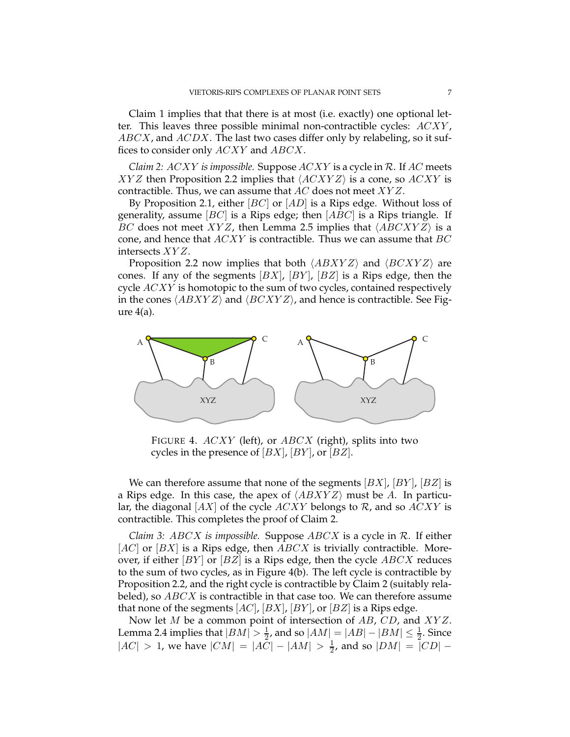Claim 1 implies that that there is at most (i.e. exactly) one optional letter. This leaves three possible minimal non-contractible cycles: ACXY ,  $ABCX$ , and  $ACDX$ . The last two cases differ only by relabeling, so it suffices to consider only ACXY and ABCX.

*Claim 2:* ACXY *is impossible.* Suppose ACXY is a cycle in R. If AC meets XYZ then Proposition 2.2 implies that  $\langle ACXYZ \rangle$  is a cone, so ACXY is contractible. Thus, we can assume that  $AC$  does not meet  $XYZ$ .

By Proposition 2.1, either  $|BC|$  or  $|AD|$  is a Rips edge. Without loss of generality, assume  $[BC]$  is a Rips edge; then  $[ABC]$  is a Rips triangle. If BC does not meet XYZ, then Lemma 2.5 implies that  $\langle ABCXYZ \rangle$  is a cone, and hence that  $ACXY$  is contractible. Thus we can assume that  $BC$ intersects XY Z.

Proposition 2.2 now implies that both  $\langle ABXYZ \rangle$  and  $\langle BCXYZ \rangle$  are cones. If any of the segments  $[BX]$ ,  $[BY]$ ,  $[BZ]$  is a Rips edge, then the cycle  $ACXY$  is homotopic to the sum of two cycles, contained respectively in the cones  $\langle ABXYZ \rangle$  and  $\langle BCXYZ \rangle$ , and hence is contractible. See Figure  $4(a)$ .



FIGURE 4. ACXY (left), or ABCX (right), splits into two cycles in the presence of  $[BX]$ ,  $[BY]$ , or  $[BZ]$ .

We can therefore assume that none of the segments  $[BX]$ ,  $[BY]$ ,  $[BZ]$  is a Rips edge. In this case, the apex of  $\langle ABXYZ \rangle$  must be A. In particular, the diagonal  $[AX]$  of the cycle  $ACXY$  belongs to  $\mathcal{R}$ , and so  $ACXY$  is contractible. This completes the proof of Claim 2.

*Claim 3:* ABCX *is impossible.* Suppose ABCX is a cycle in R. If either  $[AC]$  or  $[BX]$  is a Rips edge, then  $ABCX$  is trivially contractible. Moreover, if either  $[BY]$  or  $[BZ]$  is a Rips edge, then the cycle  $ABCX$  reduces to the sum of two cycles, as in Figure 4(b). The left cycle is contractible by Proposition 2.2, and the right cycle is contractible by Claim 2 (suitably relabeled), so  $ABCX$  is contractible in that case too. We can therefore assume that none of the segments  $[AC]$ ,  $[BX]$ ,  $[BY]$ , or  $[BZ]$  is a Rips edge.

Now let *M* be a common point of intersection of *AB*, *CD*, and *XYZ*. Lemma 2.4 implies that  $|BM| > \frac{1}{2}$ , and so  $|AM| = |AB| - |BM| \leq \frac{1}{2}$ . Since | $|AC| > 1$ , we have  $|CM| = |AC| - |AM| > \frac{1}{2}$  $\frac{1}{2}$ , and so  $|DM| = |CD|$  –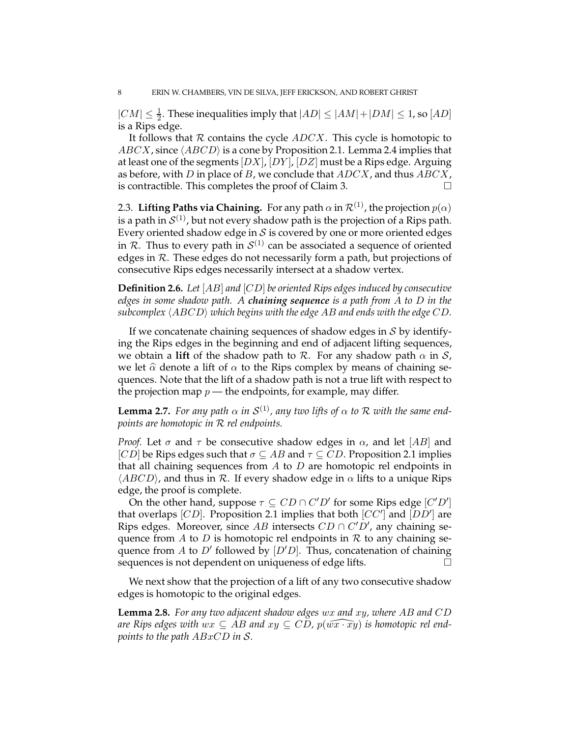$|CM| \leq \frac{1}{2}$ . These inequalities imply that  $|AD| \leq |AM| + |DM| \leq 1$ , so  $[AD]$ is a Rips edge.

It follows that  $R$  contains the cycle  $ADCX$ . This cycle is homotopic to  $ABCX$ , since  $\langle ABCD \rangle$  is a cone by Proposition 2.1. Lemma 2.4 implies that at least one of the segments  $[DX]$ ,  $[DY]$ ,  $[DZ]$  must be a Rips edge. Arguing as before, with D in place of B, we conclude that  $ADCX$ , and thus  $ABCX$ , is contractible. This completes the proof of Claim 3.

2.3. **Lifting Paths via Chaining.** For any path  $\alpha$  in  $\mathcal{R}^{(1)}$ , the projection  $p(\alpha)$ is a path in  $\mathcal{S}^{(1)}$ , but not every shadow path is the projection of a Rips path. Every oriented shadow edge in  $S$  is covered by one or more oriented edges in R. Thus to every path in  $S^{(1)}$  can be associated a sequence of oriented edges in R. These edges do not necessarily form a path, but projections of consecutive Rips edges necessarily intersect at a shadow vertex.

**Definition 2.6.** *Let* [AB] *and* [CD] *be oriented Rips edges induced by consecutive edges in some shadow path. A chaining sequence is a path from* A *to* D *in the*  $subcomplex \langle ABCD \rangle$  *which begins with the edge AB and ends with the edge*  $CD$ *.* 

If we concatenate chaining sequences of shadow edges in  $S$  by identifying the Rips edges in the beginning and end of adjacent lifting sequences, we obtain a **lift** of the shadow path to R. For any shadow path  $\alpha$  in S, we let  $\hat{\alpha}$  denote a lift of  $\alpha$  to the Rips complex by means of chaining sequences. Note that the lift of a shadow path is not a true lift with respect to the projection map  $p$  — the endpoints, for example, may differ.

**Lemma 2.7.** *For any path*  $\alpha$  *in*  $\mathcal{S}^{(1)}$ *, any two lifts of*  $\alpha$  *to*  $\mathcal{R}$  *with the same endpoints are homotopic in* R *rel endpoints.*

*Proof.* Let  $\sigma$  and  $\tau$  be consecutive shadow edges in  $\alpha$ , and let [AB] and [CD] be Rips edges such that  $\sigma \subseteq AB$  and  $\tau \subseteq CD$ . Proposition 2.1 implies that all chaining sequences from  $A$  to  $D$  are homotopic rel endpoints in  $\langle ABCD \rangle$ , and thus in R. If every shadow edge in  $\alpha$  lifts to a unique Rips edge, the proof is complete.

On the other hand, suppose  $\tau \subseteq CD \cap C'D'$  for some Rips edge  $[C'D']$ that overlaps [CD]. Proposition 2.1 implies that both [CC'] and  $[DD']$  are Rips edges. Moreover, since AB intersects  $CD \cap C'D'$ , any chaining sequence from A to D is homotopic rel endpoints in R to any chaining sequence from A to D' followed by  $[D'D]$ . Thus, concatenation of chaining sequences is not dependent on uniqueness of edge lifts.

We next show that the projection of a lift of any two consecutive shadow edges is homotopic to the original edges.

**Lemma 2.8.** *For any two adjacent shadow edges* wx *and* xy*, where* AB *and* CD *are Rips edges with wx* ⊆ AB and  $xy \subseteq CD$ ,  $p(\widehat{wx \cdot xy})$  *is homotopic rel endpoints to the path* ABxCD *in* S*.*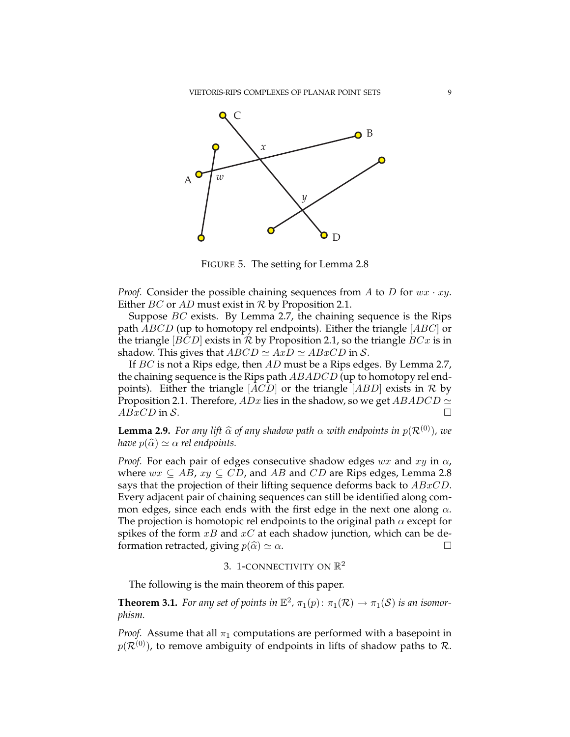

FIGURE 5. The setting for Lemma 2.8

*Proof.* Consider the possible chaining sequences from A to D for  $wx \cdot xy$ . Either *BC* or *AD* must exist in  $R$  by Proposition 2.1.

Suppose  $BC$  exists. By Lemma 2.7, the chaining sequence is the Rips path  $ABCD$  (up to homotopy rel endpoints). Either the triangle  $[ABC]$  or the triangle  $|BCD|$  exists in R by Proposition 2.1, so the triangle  $BCx$  is in shadow. This gives that  $ABCD \simeq AxD \simeq ABxCD$  in S.

If BC is not a Rips edge, then AD must be a Rips edges. By Lemma 2.7, the chaining sequence is the Rips path  $ABADCD$  (up to homotopy rel endpoints). Either the triangle  $[ACD]$  or the triangle  $[ABD]$  exists in R by Proposition 2.1. Therefore,  $ADx$  lies in the shadow, so we get  $ABADCD \simeq$  $ABxCD$  in S.

**Lemma 2.9.** *For any lift*  $\widehat{\alpha}$  *of any shadow path*  $\alpha$  *with endpoints in*  $p(\mathcal{R}^{(0)})$ *, we have*  $p(\widehat{\alpha}) \simeq \alpha$  *rel endpoints.* 

*Proof.* For each pair of edges consecutive shadow edges wx and  $xy$  in  $\alpha$ , where  $wx \subseteq AB$ ,  $xy \subseteq CD$ , and AB and CD are Rips edges, Lemma 2.8 says that the projection of their lifting sequence deforms back to  $ABxCD$ . Every adjacent pair of chaining sequences can still be identified along common edges, since each ends with the first edge in the next one along  $\alpha$ . The projection is homotopic rel endpoints to the original path  $\alpha$  except for spikes of the form  $xB$  and  $xC$  at each shadow junction, which can be deformation retracted, giving  $p(\widehat{\alpha}) \simeq \alpha$ .

# 3. 1-CONNECTIVITY ON  $\mathbb{R}^2$

The following is the main theorem of this paper.

**Theorem 3.1.** *For any set of points in*  $\mathbb{E}^2$ ,  $\pi_1(p)$ :  $\pi_1(\mathcal{R}) \to \pi_1(\mathcal{S})$  *is an isomorphism.*

*Proof.* Assume that all  $\pi_1$  computations are performed with a basepoint in  $p(\mathcal{R}^{(0)})$ , to remove ambiguity of endpoints in lifts of shadow paths to  $\mathcal{R}$ .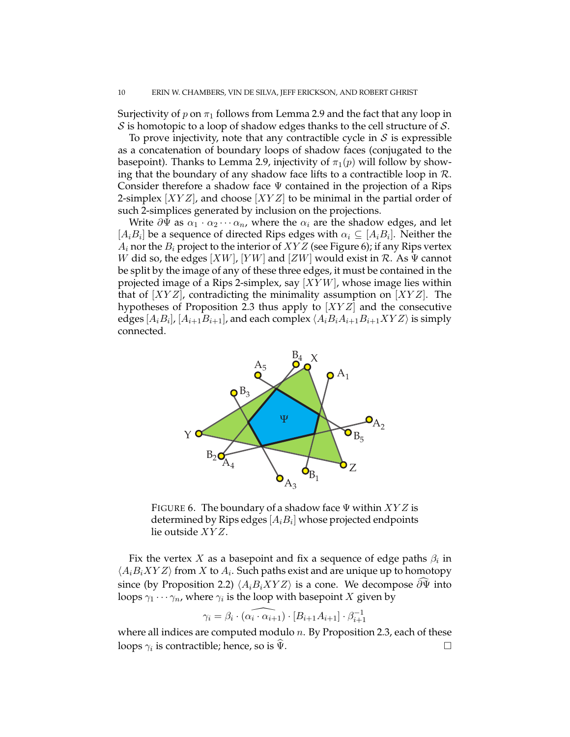Surjectivity of p on  $\pi_1$  follows from Lemma 2.9 and the fact that any loop in  $S$  is homotopic to a loop of shadow edges thanks to the cell structure of  $S$ .

To prove injectivity, note that any contractible cycle in  $S$  is expressible as a concatenation of boundary loops of shadow faces (conjugated to the basepoint). Thanks to Lemma 2.9, injectivity of  $\pi_1(p)$  will follow by showing that the boundary of any shadow face lifts to a contractible loop in  $\mathcal{R}$ . Consider therefore a shadow face  $\Psi$  contained in the projection of a Rips 2-simplex  $[XYZ]$ , and choose  $[XYZ]$  to be minimal in the partial order of such 2-simplices generated by inclusion on the projections.

Write  $\partial \Psi$  as  $\alpha_1 \cdot \alpha_2 \cdots \alpha_n$ , where the  $\alpha_i$  are the shadow edges, and let  $[A_i B_i]$  be a sequence of directed Rips edges with  $\alpha_i \subseteq [A_i B_i]$ . Neither the  $A_i$  nor the  $B_i$  project to the interior of  $XYZ$  (see Figure 6); if any Rips vertex W did so, the edges  $[XW]$ ,  $[YW]$  and  $[ZW]$  would exist in  $\mathcal{R}$ . As  $\Psi$  cannot be split by the image of any of these three edges, it must be contained in the projected image of a Rips 2-simplex, say  $[XYW]$ , whose image lies within that of  $[XYZ]$ , contradicting the minimality assumption on  $[XYZ]$ . The hypotheses of Proposition 2.3 thus apply to  $[XYZ]$  and the consecutive edges  $[A_iB_i]$ ,  $[A_{i+1}B_{i+1}]$ , and each complex  $\langle A_iB_iA_{i+1}B_{i+1}XYZ \rangle$  is simply connected.



FIGURE 6. The boundary of a shadow face  $\Psi$  within  $XYZ$  is determined by Rips edges  $[A_i B_i]$  whose projected endpoints lie outside XY Z.

Fix the vertex  $X$  as a basepoint and fix a sequence of edge paths  $\beta_i$  in  $\langle A_i B_i X Y Z \rangle$  from X to  $A_i$ . Such paths exist and are unique up to homotopy since (by Proposition 2.2)  $\langle A_i B_i X Y Z \rangle$  is a cone. We decompose  $\partial \Psi$  into loops  $\gamma_1 \cdots \gamma_n$ , where  $\gamma_i$  is the loop with basepoint  $X$  given by

$$
\gamma_i = \beta_i \cdot (\widehat{\alpha_i \cdot \alpha_{i+1}}) \cdot [B_{i+1}A_{i+1}] \cdot \beta_{i+1}^{-1}
$$

where all indices are computed modulo  $n$ . By Proposition 2.3, each of these loops  $\gamma_i$  is contractible; hence, so is  $\widehat{\Psi}$ .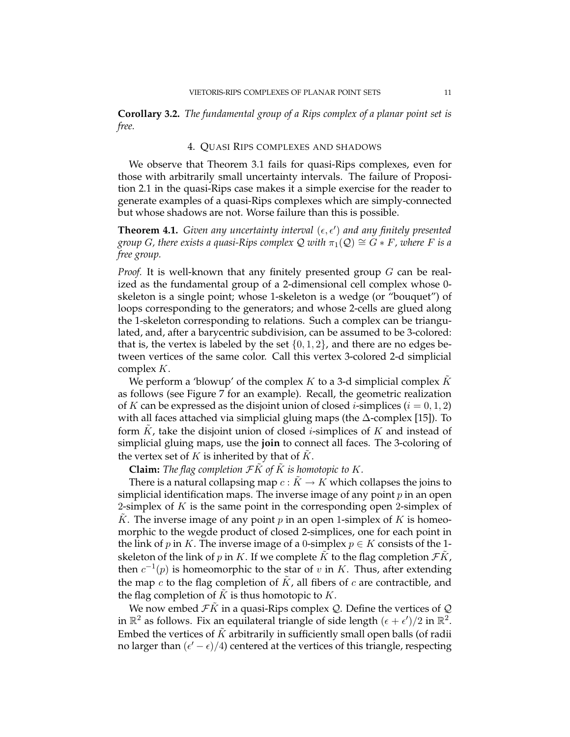**Corollary 3.2.** *The fundamental group of a Rips complex of a planar point set is free.*

#### 4. QUASI RIPS COMPLEXES AND SHADOWS

We observe that Theorem 3.1 fails for quasi-Rips complexes, even for those with arbitrarily small uncertainty intervals. The failure of Proposition 2.1 in the quasi-Rips case makes it a simple exercise for the reader to generate examples of a quasi-Rips complexes which are simply-connected but whose shadows are not. Worse failure than this is possible.

**Theorem 4.1.** Given any uncertainty interval  $(\epsilon, \epsilon')$  and any finitely presented *group G*, there exists a quasi-Rips complex Q with  $\pi_1(Q) \cong G * F$ , where F is a *free group.*

*Proof.* It is well-known that any finitely presented group G can be realized as the fundamental group of a 2-dimensional cell complex whose 0 skeleton is a single point; whose 1-skeleton is a wedge (or "bouquet") of loops corresponding to the generators; and whose 2-cells are glued along the 1-skeleton corresponding to relations. Such a complex can be triangulated, and, after a barycentric subdivision, can be assumed to be 3-colored: that is, the vertex is labeled by the set  $\{0, 1, 2\}$ , and there are no edges between vertices of the same color. Call this vertex 3-colored 2-d simplicial complex K.

We perform a 'blowup' of the complex K to a 3-d simplicial complex K as follows (see Figure 7 for an example). Recall, the geometric realization of K can be expressed as the disjoint union of closed *i*-simplices ( $i = 0, 1, 2$ ) with all faces attached via simplicial gluing maps (the ∆-complex [15]). To form  $K$ , take the disjoint union of closed *i*-simplices of  $K$  and instead of simplicial gluing maps, use the **join** to connect all faces. The 3-coloring of the vertex set of  $K$  is inherited by that of  $K$ .

**Claim:** The flag completion  $FK$  of  $K$  is homotopic to  $K$ .

There is a natural collapsing map  $c: K \to K$  which collapses the joins to simplicial identification maps. The inverse image of any point  $p$  in an open 2-simplex of  $K$  is the same point in the corresponding open 2-simplex of K. The inverse image of any point  $p$  in an open 1-simplex of  $K$  is homeomorphic to the wegde product of closed 2-simplices, one for each point in the link of p in K. The inverse image of a 0-simplex  $p \in K$  consists of the 1skeleton of the link of p in K. If we complete K to the flag completion  $\mathcal{F}K$ , then  $c^{-1}(p)$  is homeomorphic to the star of v in K. Thus, after extending the map  $c$  to the flag completion of  $K$ , all fibers of  $c$  are contractible, and the flag completion of  $\tilde{K}$  is thus homotopic to  $K$ .

We now embed  $\mathcal{F}K$  in a quasi-Rips complex  $\mathcal{Q}$ . Define the vertices of  $\mathcal{Q}$ in  $\mathbb{R}^2$  as follows. Fix an equilateral triangle of side length  $(\epsilon + \epsilon')/2$  in  $\mathbb{R}^2$ . Embed the vertices of  $\overline{K}$  arbitrarily in sufficiently small open balls (of radii no larger than  $(\epsilon' - \epsilon)/4$ ) centered at the vertices of this triangle, respecting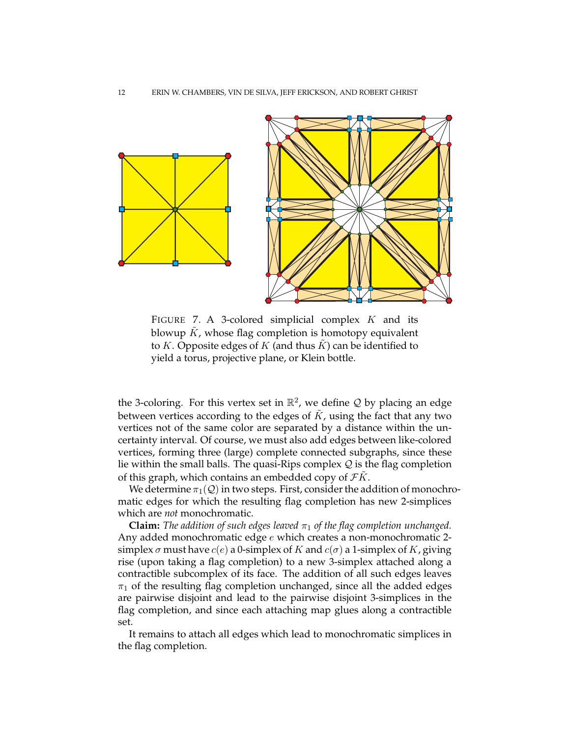

FIGURE 7. A 3-colored simplicial complex  $K$  and its blowup  $\tilde{K}$ , whose flag completion is homotopy equivalent to K. Opposite edges of K (and thus  $K$ ) can be identified to yield a torus, projective plane, or Klein bottle.

the 3-coloring. For this vertex set in  $\mathbb{R}^2$ , we define  $\mathcal Q$  by placing an edge between vertices according to the edges of  $K$ , using the fact that any two vertices not of the same color are separated by a distance within the uncertainty interval. Of course, we must also add edges between like-colored vertices, forming three (large) complete connected subgraphs, since these lie within the small balls. The quasi-Rips complex  $Q$  is the flag completion of this graph, which contains an embedded copy of  $\mathcal{F}K$ .

We determine  $\pi_1(\mathcal{Q})$  in two steps. First, consider the addition of monochromatic edges for which the resulting flag completion has new 2-simplices which are *not* monochromatic.

**Claim:** *The addition of such edges leaved*  $\pi_1$  *of the flag completion unchanged.* Any added monochromatic edge e which creates a non-monochromatic 2 simplex  $\sigma$  must have  $c(e)$  a 0-simplex of K and  $c(\sigma)$  a 1-simplex of K, giving rise (upon taking a flag completion) to a new 3-simplex attached along a contractible subcomplex of its face. The addition of all such edges leaves  $\pi_1$  of the resulting flag completion unchanged, since all the added edges are pairwise disjoint and lead to the pairwise disjoint 3-simplices in the flag completion, and since each attaching map glues along a contractible set.

It remains to attach all edges which lead to monochromatic simplices in the flag completion.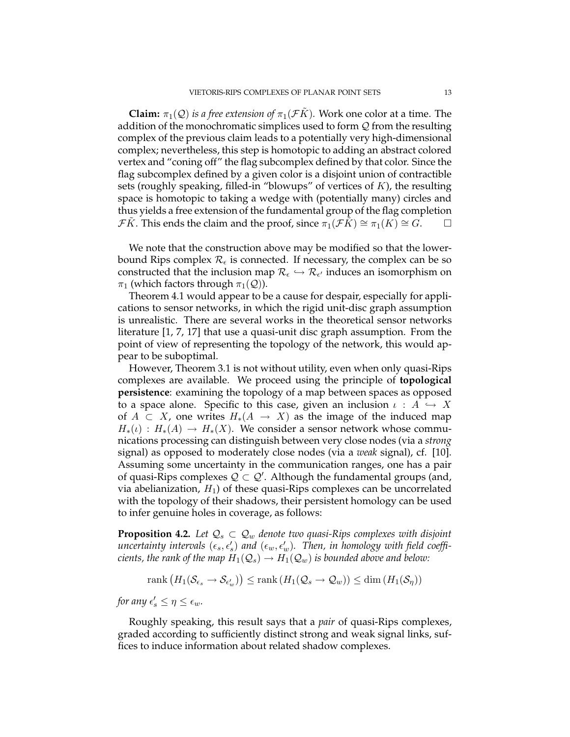**Claim:**  $\pi_1(\mathcal{Q})$  *is a free extension of*  $\pi_1(\mathcal{F}\tilde{K})$ *.* Work one color at a time. The addition of the monochromatic simplices used to form  $Q$  from the resulting complex of the previous claim leads to a potentially very high-dimensional complex; nevertheless, this step is homotopic to adding an abstract colored vertex and "coning off" the flag subcomplex defined by that color. Since the flag subcomplex defined by a given color is a disjoint union of contractible sets (roughly speaking, filled-in "blowups" of vertices of  $K$ ), the resulting space is homotopic to taking a wedge with (potentially many) circles and thus yields a free extension of the fundamental group of the flag completion *FK*. This ends the claim and the proof, since  $\pi_1(\mathcal{F}K) \cong \pi_1(K) \cong G$ .

We note that the construction above may be modified so that the lowerbound Rips complex  $\mathcal{R}_{\epsilon}$  is connected. If necessary, the complex can be so constructed that the inclusion map  $\mathcal{R}_{\epsilon} \hookrightarrow \mathcal{R}_{\epsilon'}$  induces an isomorphism on  $\pi_1$  (which factors through  $\pi_1(\mathcal{Q})$ ).

Theorem 4.1 would appear to be a cause for despair, especially for applications to sensor networks, in which the rigid unit-disc graph assumption is unrealistic. There are several works in the theoretical sensor networks literature [1, 7, 17] that use a quasi-unit disc graph assumption. From the point of view of representing the topology of the network, this would appear to be suboptimal.

However, Theorem 3.1 is not without utility, even when only quasi-Rips complexes are available. We proceed using the principle of **topological persistence**: examining the topology of a map between spaces as opposed to a space alone. Specific to this case, given an inclusion  $\iota : A \hookrightarrow X$ of  $A \subset X$ , one writes  $H_*(A \to X)$  as the image of the induced map  $H_*(\iota) : H_*(A) \to H_*(X)$ . We consider a sensor network whose communications processing can distinguish between very close nodes (via a *strong* signal) as opposed to moderately close nodes (via a *weak* signal), cf. [10]. Assuming some uncertainty in the communication ranges, one has a pair of quasi-Rips complexes  $\mathcal{Q} \subset \mathcal{Q}'$ . Although the fundamental groups (and, via abelianization,  $H_1$ ) of these quasi-Rips complexes can be uncorrelated with the topology of their shadows, their persistent homology can be used to infer genuine holes in coverage, as follows:

**Proposition 4.2.** Let  $Q_s \subset Q_w$  denote two quasi-Rips complexes with disjoint  $\widetilde{u}$  *uncertainty intervals*  $(\epsilon_s, \epsilon'_s)$  and  $(\epsilon_w, \epsilon'_w)$ . Then, in homology with field coeffi*cients, the rank of the map*  $H_1(\mathcal{Q}_s) \to H_1(\mathcal{Q}_w)$  *is bounded above and below:* 

$$
rank (H_1(\mathcal{S}_{\epsilon_s} \to \mathcal{S}_{\epsilon_w'})) \leq rank (H_1(\mathcal{Q}_s \to \mathcal{Q}_w)) \leq dim (H_1(\mathcal{S}_\eta))
$$

*for any*  $\epsilon'_s \leq \eta \leq \epsilon_w$ .

Roughly speaking, this result says that a *pair* of quasi-Rips complexes, graded according to sufficiently distinct strong and weak signal links, suffices to induce information about related shadow complexes.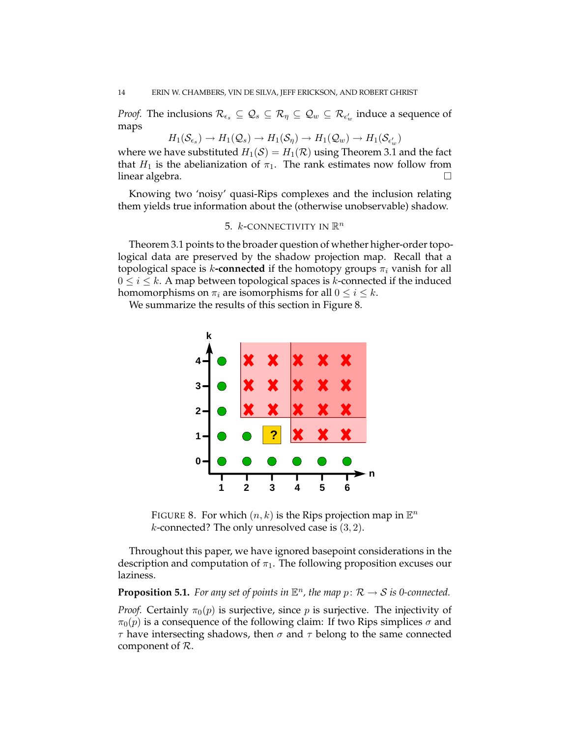*Proof.* The inclusions  $\mathcal{R}_{\epsilon_s} \subseteq \mathcal{Q}_s \subseteq \mathcal{R}_{\eta} \subseteq \mathcal{Q}_w \subseteq \mathcal{R}_{\epsilon'_w}$  induce a sequence of maps

$$
H_1(\mathcal{S}_{\epsilon_s}) \to H_1(\mathcal{Q}_s) \to H_1(\mathcal{S}_{\eta}) \to H_1(\mathcal{Q}_w) \to H_1(\mathcal{S}_{\epsilon'_w})
$$

where we have substituted  $H_1(S) = H_1(\mathcal{R})$  using Theorem 3.1 and the fact that  $H_1$  is the abelianization of  $\pi_1$ . The rank estimates now follow from linear algebra.  $\square$ 

Knowing two 'noisy' quasi-Rips complexes and the inclusion relating them yields true information about the (otherwise unobservable) shadow.

# 5. *k*-connectivity in  $\mathbb{R}^n$

Theorem 3.1 points to the broader question of whether higher-order topological data are preserved by the shadow projection map. Recall that a topological space is k-**connected** if the homotopy groups  $\pi_i$  vanish for all  $0 \le i \le k$ . A map between topological spaces is k-connected if the induced homomorphisms on  $\pi_i$  are isomorphisms for all  $0 \leq i \leq k$ .

We summarize the results of this section in Figure 8.



FIGURE 8. For which  $(n, k)$  is the Rips projection map in  $\mathbb{E}^n$ *k*-connected? The only unresolved case is  $(3, 2)$ .

Throughout this paper, we have ignored basepoint considerations in the description and computation of  $\pi_1$ . The following proposition excuses our laziness.

**Proposition 5.1.** For any set of points in  $\mathbb{E}^n$ , the map  $p: \mathcal{R} \to \mathcal{S}$  is 0-connected.

*Proof.* Certainly  $\pi_0(p)$  is surjective, since p is surjective. The injectivity of  $\pi_0(p)$  is a consequence of the following claim: If two Rips simplices  $\sigma$  and  $\tau$  have intersecting shadows, then  $\sigma$  and  $\tau$  belong to the same connected component of  $R$ .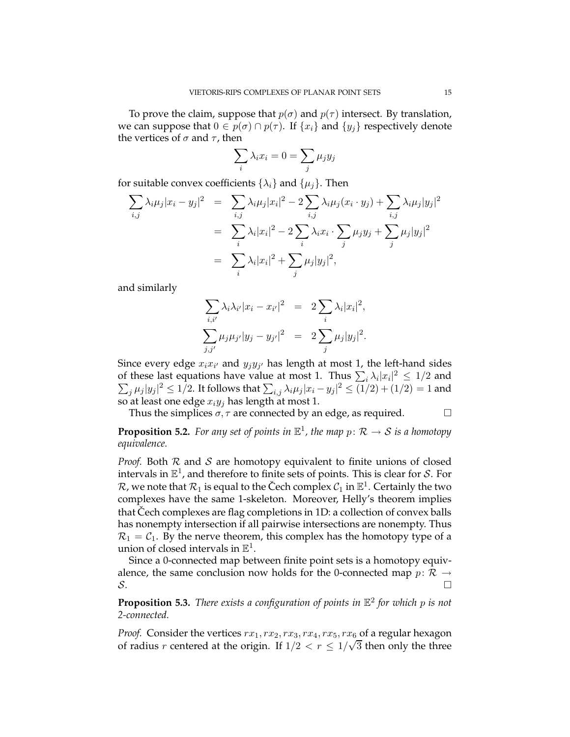To prove the claim, suppose that  $p(\sigma)$  and  $p(\tau)$  intersect. By translation, we can suppose that  $0 \in p(\sigma) \cap p(\tau)$ . If  $\{x_i\}$  and  $\{y_j\}$  respectively denote the vertices of  $\sigma$  and  $\tau$ , then

$$
\sum_i \lambda_i x_i = 0 = \sum_j \mu_j y_j
$$

for suitable convex coefficients  $\{\lambda_i\}$  and  $\{\mu_j\}$ . Then

$$
\sum_{i,j} \lambda_i \mu_j |x_i - y_j|^2 = \sum_{i,j} \lambda_i \mu_j |x_i|^2 - 2 \sum_{i,j} \lambda_i \mu_j (x_i \cdot y_j) + \sum_{i,j} \lambda_i \mu_j |y_j|^2
$$
  
= 
$$
\sum_i \lambda_i |x_i|^2 - 2 \sum_i \lambda_i x_i \cdot \sum_j \mu_j y_j + \sum_j \mu_j |y_j|^2
$$
  
= 
$$
\sum_i \lambda_i |x_i|^2 + \sum_j \mu_j |y_j|^2,
$$

and similarly

$$
\sum_{i,i'} \lambda_i \lambda_{i'} |x_i - x_{i'}|^2 = 2 \sum_i \lambda_i |x_i|^2,
$$
  

$$
\sum_{j,j'} \mu_j \mu_{j'} |y_j - y_{j'}|^2 = 2 \sum_j \mu_j |y_j|^2.
$$

Since every edge  $x_ix_{i'}$  and  $y_jy_{j'}$  has length at most 1, the left-hand sides of these last equations have value at most 1. Thus  $\sum_i \lambda_i |x_i|^2 \leq 1/2$  and  $\sum_j \mu_j |y_j|^2 \leq 1/2$ . It follows that  $\sum_{i,j} \lambda_i \mu_j |x_i - y_j|^2 \leq (1/2) + (1/2) = 1$  and so at least one edge  $x_i y_j$  has length at most 1.

Thus the simplices  $\sigma, \tau$  are connected by an edge, as required.  $\Box$ 

**Proposition 5.2.** For any set of points in  $\mathbb{E}^1$ , the map  $p: \mathcal{R} \to \mathcal{S}$  is a homotopy *equivalence.*

*Proof.* Both  $R$  and  $S$  are homotopy equivalent to finite unions of closed intervals in  $\mathbb{E}^1$ , and therefore to finite sets of points. This is clear for S. For  $\mathcal{R}$ , we note that  $\mathcal{R}_1$  is equal to the Čech complex  $\mathcal{C}_1$  in  $\mathbb{E}^1$ . Certainly the two complexes have the same 1-skeleton. Moreover, Helly's theorem implies that Cech complexes are flag completions in 1D: a collection of convex balls has nonempty intersection if all pairwise intersections are nonempty. Thus  $\mathcal{R}_1 = \mathcal{C}_1$ . By the nerve theorem, this complex has the homotopy type of a union of closed intervals in  $\mathbb{E}^1$ .

Since a 0-connected map between finite point sets is a homotopy equivalence, the same conclusion now holds for the 0-connected map  $p: \mathcal{R} \rightarrow S$ .  $\mathcal{S}$ .

**Proposition 5.3.** *There exists a configuration of points in* E 2 *for which* p *is not 2-connected.*

*Proof.* Consider the vertices  $rx_1, rx_2, rx_3, rx_4, rx_5, rx_6$  of a regular hexagon of radius r centered at the origin. If  $1/2 < r \leq 1/\sqrt{3}$  then only the three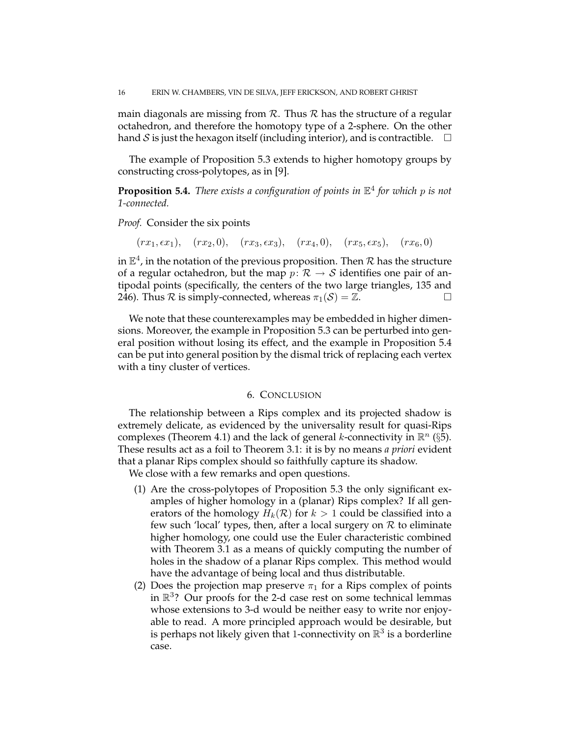main diagonals are missing from  $R$ . Thus  $R$  has the structure of a regular octahedron, and therefore the homotopy type of a 2-sphere. On the other hand S is just the hexagon itself (including interior), and is contractible.  $\Box$ 

The example of Proposition 5.3 extends to higher homotopy groups by constructing cross-polytopes, as in [9].

**Proposition 5.4.** *There exists a configuration of points in* E 4 *for which* p *is not 1-connected.*

*Proof.* Consider the six points

 $(rx_1, \epsilon x_1), (rx_2, 0), (rx_3, \epsilon x_3), (rx_4, 0), (rx_5, \epsilon x_5), (rx_6, 0)$ 

in  $\mathbb{E}^4$ , in the notation of the previous proposition. Then  $\mathcal R$  has the structure of a regular octahedron, but the map  $p: \mathcal{R} \to \mathcal{S}$  identifies one pair of antipodal points (specifically, the centers of the two large triangles, 135 and 246). Thus  $R$  is simply-connected, whereas  $\pi_1(S) = \mathbb{Z}$ .

We note that these counterexamples may be embedded in higher dimensions. Moreover, the example in Proposition 5.3 can be perturbed into general position without losing its effect, and the example in Proposition 5.4 can be put into general position by the dismal trick of replacing each vertex with a tiny cluster of vertices.

### 6. CONCLUSION

The relationship between a Rips complex and its projected shadow is extremely delicate, as evidenced by the universality result for quasi-Rips complexes (Theorem 4.1) and the lack of general *k*-connectivity in  $\mathbb{R}^n$  (§5). These results act as a foil to Theorem 3.1: it is by no means *a priori* evident that a planar Rips complex should so faithfully capture its shadow.

We close with a few remarks and open questions.

- (1) Are the cross-polytopes of Proposition 5.3 the only significant examples of higher homology in a (planar) Rips complex? If all generators of the homology  $H_k(\mathcal{R})$  for  $k > 1$  could be classified into a few such 'local' types, then, after a local surgery on  $R$  to eliminate higher homology, one could use the Euler characteristic combined with Theorem 3.1 as a means of quickly computing the number of holes in the shadow of a planar Rips complex. This method would have the advantage of being local and thus distributable.
- (2) Does the projection map preserve  $\pi_1$  for a Rips complex of points in R 3 ? Our proofs for the 2-d case rest on some technical lemmas whose extensions to 3-d would be neither easy to write nor enjoyable to read. A more principled approach would be desirable, but is perhaps not likely given that 1-connectivity on  $\mathbb{R}^3$  is a borderline case.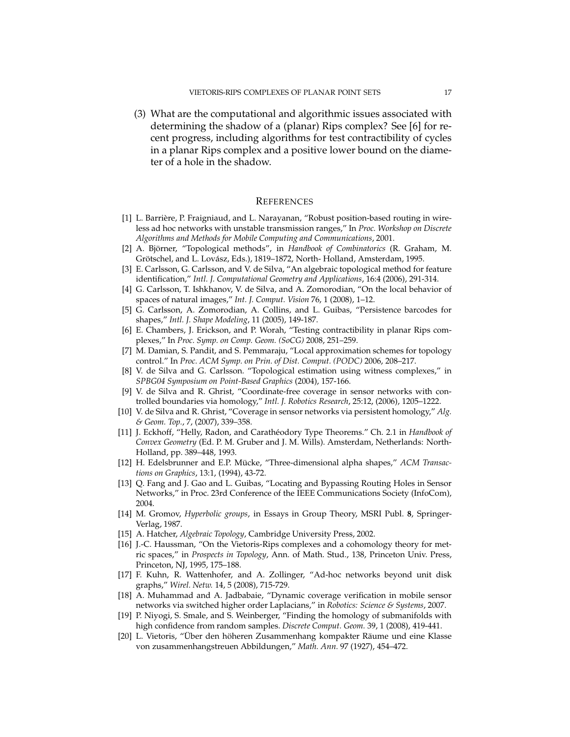(3) What are the computational and algorithmic issues associated with determining the shadow of a (planar) Rips complex? See [6] for recent progress, including algorithms for test contractibility of cycles in a planar Rips complex and a positive lower bound on the diameter of a hole in the shadow.

#### **REFERENCES**

- [1] L. Barrière, P. Fraigniaud, and L. Narayanan, "Robust position-based routing in wireless ad hoc networks with unstable transmission ranges," In *Proc. Workshop on Discrete Algorithms and Methods for Mobile Computing and Communications*, 2001.
- [2] A. Björner, "Topological methods", in *Handbook of Combinatorics* (R. Graham, M. Grötschel, and L. Lovász, Eds.), 1819–1872, North-Holland, Amsterdam, 1995.
- [3] E. Carlsson, G. Carlsson, and V. de Silva, "An algebraic topological method for feature identification," *Intl. J. Computational Geometry and Applications*, 16:4 (2006), 291-314.
- [4] G. Carlsson, T. Ishkhanov, V. de Silva, and A. Zomorodian, "On the local behavior of spaces of natural images," *Int. J. Comput. Vision* 76, 1 (2008), 1–12.
- [5] G. Carlsson, A. Zomorodian, A. Collins, and L. Guibas, "Persistence barcodes for shapes," *Intl. J. Shape Modeling*, 11 (2005), 149-187.
- [6] E. Chambers, J. Erickson, and P. Worah, "Testing contractibility in planar Rips complexes," In *Proc. Symp. on Comp. Geom. (SoCG)* 2008, 251–259.
- [7] M. Damian, S. Pandit, and S. Pemmaraju, "Local approximation schemes for topology control." In *Proc. ACM Symp. on Prin. of Dist. Comput. (PODC)* 2006, 208–217.
- [8] V. de Silva and G. Carlsson. "Topological estimation using witness complexes," in *SPBG04 Symposium on Point-Based Graphics* (2004), 157-166.
- [9] V. de Silva and R. Ghrist, "Coordinate-free coverage in sensor networks with controlled boundaries via homology," *Intl. J. Robotics Research*, 25:12, (2006), 1205–1222.
- [10] V. de Silva and R. Ghrist, "Coverage in sensor networks via persistent homology," *Alg. & Geom. Top.*, 7, (2007), 339–358.
- [11] J. Eckhoff, "Helly, Radon, and Carath´eodory Type Theorems." Ch. 2.1 in *Handbook of Convex Geometry* (Ed. P. M. Gruber and J. M. Wills). Amsterdam, Netherlands: North-Holland, pp. 389–448, 1993.
- [12] H. Edelsbrunner and E.P. Mücke, "Three-dimensional alpha shapes," ACM Transac*tions on Graphics*, 13:1, (1994), 43-72.
- [13] Q. Fang and J. Gao and L. Guibas, "Locating and Bypassing Routing Holes in Sensor Networks," in Proc. 23rd Conference of the IEEE Communications Society (InfoCom), 2004.
- [14] M. Gromov, *Hyperbolic groups*, in Essays in Group Theory, MSRI Publ. **8**, Springer-Verlag, 1987.
- [15] A. Hatcher, *Algebraic Topology*, Cambridge University Press, 2002.
- [16] J.-C. Haussman, "On the Vietoris-Rips complexes and a cohomology theory for metric spaces," in *Prospects in Topology*, Ann. of Math. Stud., 138, Princeton Univ. Press, Princeton, NJ, 1995, 175–188.
- [17] F. Kuhn, R. Wattenhofer, and A. Zollinger, "Ad-hoc networks beyond unit disk graphs," *Wirel. Netw.* 14, 5 (2008), 715-729.
- [18] A. Muhammad and A. Jadbabaie, "Dynamic coverage verification in mobile sensor networks via switched higher order Laplacians," in *Robotics: Science & Systems*, 2007.
- [19] P. Niyogi, S. Smale, and S. Weinberger, "Finding the homology of submanifolds with high confidence from random samples. *Discrete Comput. Geom.* 39, 1 (2008), 419-441.
- [20] L. Vietoris, "Über den höheren Zusammenhang kompakter Räume und eine Klasse von zusammenhangstreuen Abbildungen," *Math. Ann.* 97 (1927), 454–472.